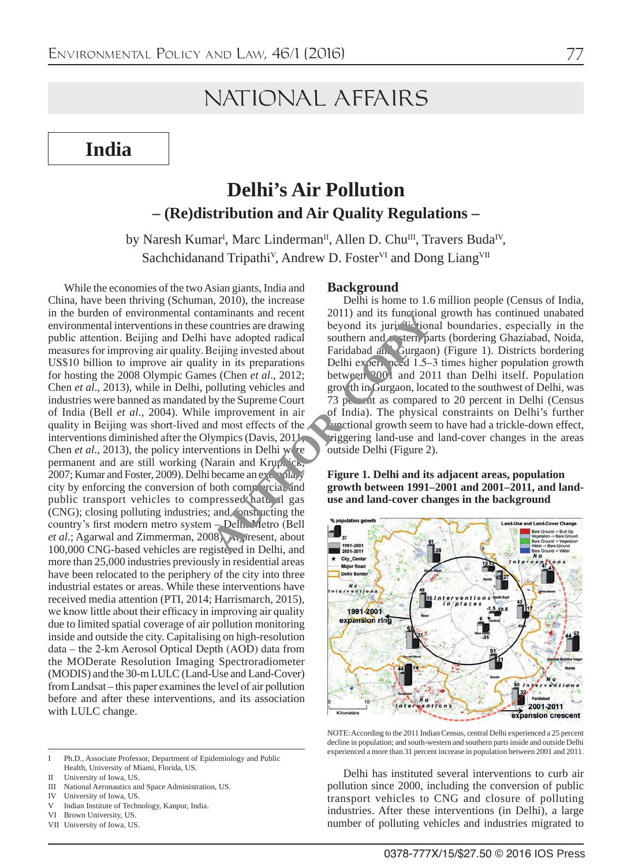# NATIONAL AFFAIRS

**India**

# **Delhi's Air Pollution – (Re)distribution and Air Quality Regulations –**

by Naresh Kumar<sup>I</sup>, Marc Linderman<sup>II</sup>, Allen D. Chu<sup>III</sup>, Travers Buda<sup>IV</sup>, Sachchidanand Tripathi<sup>V</sup>, Andrew D. Foster<sup>VI</sup> and Dong Liang<sup>VII</sup>

While the economies of the two Asian giants, India and China, have been thriving (Schuman, 2010), the increase in the burden of environmental contaminants and recent environmental interventions in these countries are drawing public attention. Beijing and Delhi have adopted radical measures for improving air quality. Beijing invested about US\$10 billion to improve air quality in its preparations for hosting the 2008 Olympic Games (Chen *et al*., 2012; Chen *et al*., 2013), while in Delhi, polluting vehicles and industries were banned as mandated by the Supreme Court of India (Bell *et al*., 2004). While improvement in air quality in Beijing was short-lived and most effects of the interventions diminished after the Olympics (Davis, 2011; Chen *et al.*, 2013), the policy interventions in Delhi were permanent and are still working (Narain and Krupnick, 2007; Kumar and Foster, 2009). Delhi became an exemplary city by enforcing the conversion of both commercial and public transport vehicles to compressed natural gas (CNG); closing polluting industries; and constructing the country's first modern metro system – Delhi Metro (Bell *et al*.; Agarwal and Zimmerman, 2008). At present, about 100,000 CNG-based vehicles are registered in Delhi, and more than 25,000 industries previously in residential areas have been relocated to the periphery of the city into three industrial estates or areas. While these interventions have received media attention (PTI, 2014; Harrismarch, 2015), we know little about their efficacy in improving air quality due to limited spatial coverage of air pollution monitoring inside and outside the city. Capitalising on high-resolution data – the 2-km Aerosol Optical Depth (AOD) data from the MODerate Resolution Imaging Spectroradiometer (MODIS) and the 30-m LULC (Land-Use and Land-Cover) from Landsat – this paper examines the level of air pollution before and after these interventions, and its association with LULC change. taminants and recent<br>
countries are drawing<br>
beyond its juri-di-tion<br>
beiging invested about<br>
for a dopted radical<br>
southern and stern parallon<br>
ty in its preparations<br>
beyond its juri-di-tion<br>
setting southern and stern p

#### I Ph.D., Associate Professor, Department of Epidemiology and Public Health, University of Miami, Florida, US.

- IV University of Iowa, US.
- Indian Institute of Technology, Kanpur, India.
- VI Brown University, US.
- VII University of Iowa, US.

#### **Background**

Delhi is home to 1.6 million people (Census of India, 2011) and its functional growth has continued unabated beyond its jurisdictional boundaries, especially in the southern and eastern parts (bordering Ghaziabad, Noida, Faridabad and Gurgaon) (Figure 1). Districts bordering Delhi experiment of  $1.5-3$  times higher population growth between <sup>2001</sup> and 2011 than Delhi itself. Population growth in Gurgaon, located to the southwest of Delhi, was 73 pc. ont as compared to 20 percent in Delhi (Census of India). The physical constraints on Delhi's further **functional growth seem to have had a trickle-down effect,** riggering land-use and land-cover changes in the areas outside Delhi (Figure 2).

**Figure 1. Delhi and its adjacent areas, population growth between 1991–2001 and 2001–2011, and landuse and land-cover changes in the background**



NOTE: According to the 2011 Indian Census, central Delhi experienced a 25 percent decline in population; and south-western and southern parts inside and outside Delhi experienced a more than 31 percent increase in population between 2001 and 2011.

Delhi has instituted several interventions to curb air pollution since 2000, including the conversion of public transport vehicles to CNG and closure of polluting industries. After these interventions (in Delhi), a large number of polluting vehicles and industries migrated to

II University of Iowa, US.

III National Aeronautics and Space Administration, US.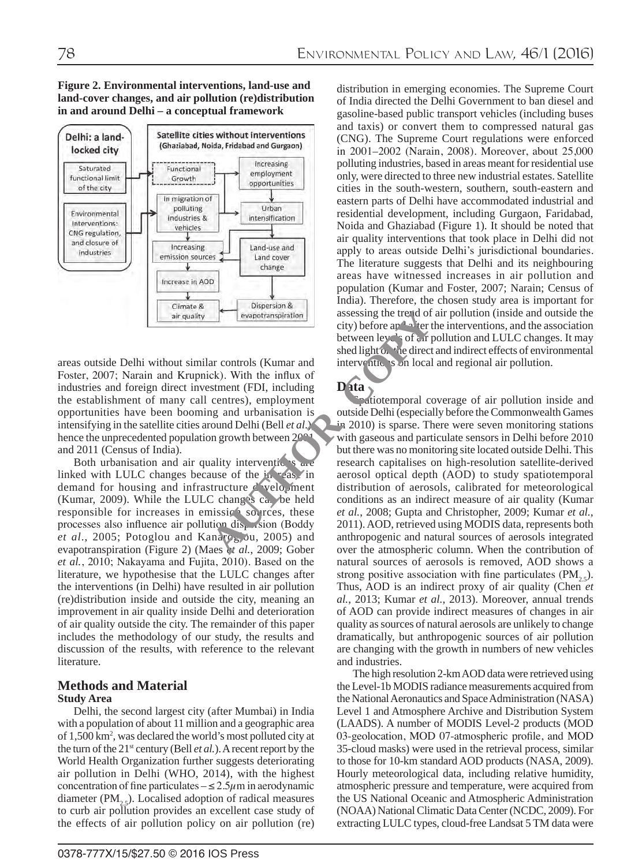**Figure 2. Environmental interventions, land-use and land-cover changes, and air pollution (re)distribution in and around Delhi – a conceptual framework**



areas outside Delhi without similar controls (Kumar and Foster, 2007; Narain and Krupnick). With the influx of industries and foreign direct investment (FDI, including the establishment of many call centres), employment opportunities have been booming and urbanisation is intensifying in the satellite cities around Delhi (Bell *et al*.), hence the unprecedented population growth between 2001 and 2011 (Census of India).

Both urbanisation and air quality interventions linked with LULC changes because of the  $in$  as in demand for housing and infrastructure  $\triangle$  velopment (Kumar, 2009). While the LULC changes can be held responsible for increases in emission sources, these processes also influence air pollution dispersion (Boddy *et al.*, 2005; Potoglou and Kanaroglou, 2005) and evapotranspiration (Figure 2) (Maes *et al.*, 2009; Gober *et al.*, 2010; Nakayama and Fujita, 2010). Based on the literature, we hypothesise that the LULC changes after the interventions (in Delhi) have resulted in air pollution (re)distribution inside and outside the city, meaning an improvement in air quality inside Delhi and deterioration of air quality outside the city. The remainder of this paper includes the methodology of our study, the results and discussion of the results, with reference to the relevant literature.

#### **Methods and Material Study Area**

Delhi, the second largest city (after Mumbai) in India with a population of about 11 million and a geographic area of 1,500 km2 , was declared the world's most polluted city at the turn of the 21st century (Bell *et al.*). A recent report by the World Health Organization further suggests deteriorating air pollution in Delhi (WHO, 2014), with the highest concentration of fine particulates  $-\leq 2.5\mu$ m in aerodynamic diameter  $(PM<sub>2</sub>)$ . Localised adoption of radical measures to curb air pollution provides an excellent case study of the effects of air pollution policy on air pollution (re)

distribution in emerging economies. The Supreme Court of India directed the Delhi Government to ban diesel and gasoline-based public transport vehicles (including buses and taxis) or convert them to compressed natural gas (CNG). The Supreme Court regulations were enforced in 2001–2002 (Narain, 2008). Moreover, about 25,000 polluting industries, based in areas meant for residential use only, were directed to three new industrial estates. Satellite cities in the south-western, southern, south-eastern and eastern parts of Delhi have accommodated industrial and residential development, including Gurgaon, Faridabad, Noida and Ghaziabad (Figure 1). It should be noted that air quality interventions that took place in Delhi did not apply to areas outside Delhi's jurisdictional boundaries. The literature suggests that Delhi and its neighbouring areas have witnessed increases in air pollution and population (Kumar and Foster, 2007; Narain; Census of India). Therefore, the chosen study area is important for assessing the trend of air pollution (inside and outside the city) before and after the interventions, and the association between levels of air pollution and LULC changes. It may shed light on the direct and indirect effects of environmental interventions on local and regional air pollution.

# **Data**

patiotemporal coverage of air pollution inside and outside Delhi (especially before the Commonwealth Games in 2010) is sparse. There were seven monitoring stations with gaseous and particulate sensors in Delhi before 2010 but there was no monitoring site located outside Delhi. This research capitalises on high-resolution satellite-derived aerosol optical depth (AOD) to study spatiotemporal distribution of aerosols, calibrated for meteorological conditions as an indirect measure of air quality (Kumar *et al.*, 2008; Gupta and Christopher, 2009; Kumar *et al.*, 2011). AOD, retrieved using MODIS data, represents both anthropogenic and natural sources of aerosols integrated over the atmospheric column. When the contribution of natural sources of aerosols is removed, AOD shows a strong positive association with fine particulates  $(PM<sub>2.5</sub>)$ . Thus, AOD is an indirect proxy of air quality (Chen *et al.*, 2013; Kumar *et al.*, 2013). Moreover, annual trends of AOD can provide indirect measures of changes in air quality as sources of natural aerosols are unlikely to change dramatically, but anthropogenic sources of air pollution are changing with the growth in numbers of new vehicles and industries. Examples the text of complete and the text of the text of the direct of controls (Kumar and the direct of stement (FDI, including centres), employment and the influx of stement (FDI, including centres), employment and urba

> The high resolution 2-km AOD data were retrieved using the Level-1b MODIS radiance measurements acquired from the National Aeronautics and Space Administration (NASA) Level 1 and Atmosphere Archive and Distribution System (LAADS). A number of MODIS Level-2 products (MOD 03-geolocation, MOD 07-atmospheric profile, and MOD 35-cloud masks) were used in the retrieval process, similar to those for 10-km standard AOD products (NASA, 2009). Hourly meteorological data, including relative humidity, atmospheric pressure and temperature, were acquired from the US National Oceanic and Atmospheric Administration (NOAA) National Climatic Data Center (NCDC, 2009). For extracting LULC types, cloud-free Landsat 5 TM data were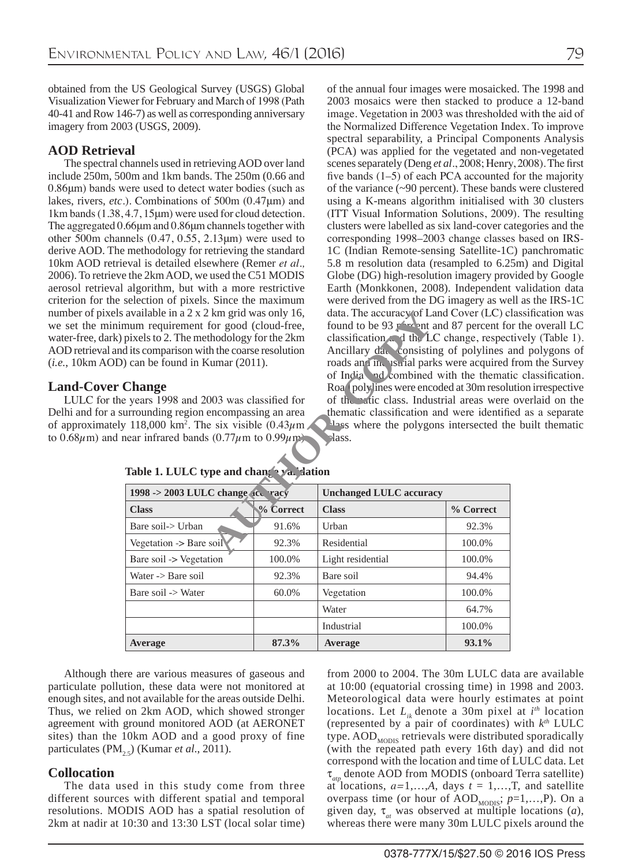obtained from the US Geological Survey (USGS) Global Visualization Viewer for February and March of 1998 (Path 40-41 and Row 146-7) as well as corresponding anniversary imagery from 2003 (USGS, 2009).

## **AOD Retrieval**

The spectral channels used in retrieving AOD over land include 250m, 500m and 1km bands. The 250m (0.66 and 0.86μm) bands were used to detect water bodies (such as lakes, rivers, *etc*.). Combinations of 500m (0.47μm) and 1km bands (1.38, 4.7, 15μm) were used for cloud detection. The aggregated 0.66μm and 0.86μm channels together with other 500m channels (0.47, 0.55, 2.13μm) were used to derive AOD. The methodology for retrieving the standard 10km AOD retrieval is detailed elsewhere (Remer *et al.,* 2006). To retrieve the 2km AOD, we used the C51 MODIS aerosol retrieval algorithm, but with a more restrictive criterion for the selection of pixels. Since the maximum number of pixels available in a 2 x 2 km grid was only 16, we set the minimum requirement for good (cloud-free, water-free, dark) pixels to 2. The methodology for the 2km AOD retrieval and its comparison with the coarse resolution (*i.e.*, 10km AOD) can be found in Kumar (2011).

## **Land-Cover Change**

LULC for the years 1998 and 2003 was classified for Delhi and for a surrounding region encompassing an area of approximately 118,000 km<sup>2</sup>. The six visible  $(0.43 \mu m)$ to 0.68 $\mu$ m) and near infrared bands (0.77 $\mu$ m to 0.99 $\mu$ m) of the annual four images were mosaicked. The 1998 and 2003 mosaics were then stacked to produce a 12-band image. Vegetation in 2003 was thresholded with the aid of the Normalized Difference Vegetation Index. To improve spectral separability, a Principal Components Analysis (PCA) was applied for the vegetated and non-vegetated scenes separately (Deng *et al*., 2008; Henry, 2008). The first five bands (1–5) of each PCA accounted for the majority of the variance (~90 percent). These bands were clustered using a K-means algorithm initialised with 30 clusters (ITT Visual Information Solutions, 2009). The resulting clusters were labelled as six land-cover categories and the corresponding 1998–2003 change classes based on IRS-1C (Indian Remote-sensing Satellite-1C) panchromatic 5.8 m resolution data (resampled to 6.25m) and Digital Globe (DG) high-resolution imagery provided by Google Earth (Monkkonen, 2008). Independent validation data were derived from the DG imagery as well as the IRS-1C data. The accuracy of Land Cover (LC) classification was found to be 93 percent and 87 percent for the overall LC classification and the LC change, respectively (Table 1). Ancillary data consisting of polylines and polygons of roads and industrial parks were acquired from the Survey of India and combined with the thematic classification. Road polylines were encoded at 30m resolution irrespective of the matic class. Industrial areas were overlaid on the thematic classification and were identified as a separate has where the polygons intersected the built thematic lass.

| ivailable in a 2 x 2 km grid was only 16,                                       |           | data. The accuracy of Land Cover (LC)                                                        |                                           |  |  |
|---------------------------------------------------------------------------------|-----------|----------------------------------------------------------------------------------------------|-------------------------------------------|--|--|
| um requirement for good (cloud-free,<br>ixels to 2. The methodology for the 2km |           | found to be 93 $r^{\prime}$ and 87 percent form<br>classification and the LC change, respect |                                           |  |  |
| its comparison with the coarse resolution                                       |           | Ancillary day consisting of polylines                                                        |                                           |  |  |
| can be found in Kumar (2011).                                                   |           | roads and in uscrial parks were acquired                                                     |                                           |  |  |
|                                                                                 |           | of India nd combined with the thema                                                          |                                           |  |  |
| hange!                                                                          |           | Roa <sup>1</sup> polylines were encoded at 30m resol                                         |                                           |  |  |
| years 1998 and 2003 was classified for                                          |           |                                                                                              | of the ratic class. Industrial areas were |  |  |
| rrounding region encompassing an area                                           |           | thematic classification and were identif                                                     |                                           |  |  |
| 118,000 km <sup>2</sup> . The six visible $(0.43 \mu m)$ .                      |           | aloss where the polygons intersected the                                                     |                                           |  |  |
| ear infrared bands $(0.77\mu m)$ to $0.99\mu m$ .                               |           | rass.                                                                                        |                                           |  |  |
|                                                                                 |           |                                                                                              |                                           |  |  |
| Table 1. LULC type and changer and dation                                       |           |                                                                                              |                                           |  |  |
| $1998 \rightarrow 2003$ LULC change ice racy                                    |           | <b>Unchanged LULC accuracy</b>                                                               |                                           |  |  |
| <b>Class</b>                                                                    | % Correct | <b>Class</b>                                                                                 | % Correct                                 |  |  |
|                                                                                 |           |                                                                                              |                                           |  |  |
| Bare soil-> Urban                                                               | 91.6%     | Urban                                                                                        | 92.3%                                     |  |  |
| Vegetation -> Bare soil                                                         | 92.3%     | Residential                                                                                  | 100.0%                                    |  |  |
| Bare soil -> Vegetation                                                         | 100.0%    | Light residential                                                                            | 100.0%                                    |  |  |
| Water $\rightarrow$ Bare soil                                                   | 92.3%     | Bare soil                                                                                    | 94.4%                                     |  |  |
| Bare soil -> Water                                                              | 60.0%     | Vegetation                                                                                   | 100.0%                                    |  |  |
|                                                                                 |           | Water                                                                                        | 64.7%                                     |  |  |
|                                                                                 |           | Industrial                                                                                   | 100.0%                                    |  |  |
| <b>Average</b>                                                                  | 87.3%     | Average                                                                                      | 93.1%                                     |  |  |

| Table 1. LULC type and change va. dation |  |  |  |
|------------------------------------------|--|--|--|
|------------------------------------------|--|--|--|

Although there are various measures of gaseous and particulate pollution, these data were not monitored at enough sites, and not available for the areas outside Delhi. Thus, we relied on 2km AOD, which showed stronger agreement with ground monitored AOD (at AERONET sites) than the 10km AOD and a good proxy of fine particulates (PM<sub>25</sub>) (Kumar *et al.*, 2011).

## **Collocation**

The data used in this study come from three different sources with different spatial and temporal resolutions. MODIS AOD has a spatial resolution of 2km at nadir at 10:30 and 13:30 LST (local solar time) from 2000 to 2004. The 30m LULC data are available at 10:00 (equatorial crossing time) in 1998 and 2003. Meteorological data were hourly estimates at point locations. Let  $L_{ik}$  denote a 30m pixel at  $i^{th}$  location (represented by a pair of coordinates) with *kth* LULC type.  $AOD<sub>MONS</sub>$  retrievals were distributed sporadically (with the repeated path every 16th day) and did not correspond with the location and time of LULC data. Let τ*atp* denote AOD from MODIS (onboard Terra satellite) at locations,  $a=1,...,A$ , days  $t=1,...,T$ , and satellite overpass time (or hour of  $AOD_{\text{MODIS}}$ ;  $p=1,\ldots,P$ ). On a given day,  $\tau_a$  was observed at multiple locations (*a*), whereas there were many 30m LULC pixels around the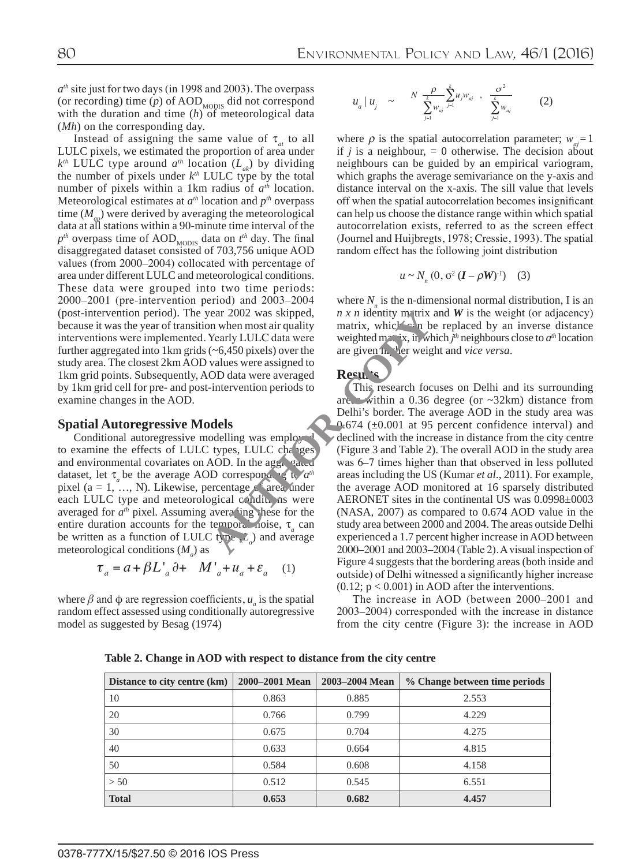*ath* site just for two days (in 1998 and 2003). The overpass (or recording) time  $(p)$  of  $\text{AOD}_{\text{MONIS}}$  did not correspond with the duration and time (*h*) of meteorological data (*Mh*) on the corresponding day.

Instead of assigning the same value of  $\tau_{at}$  to all LULC pixels, we estimated the proportion of area under  $k^{th}$  LULC type around  $a^{th}$  location (*L<sub>ak</sub>*) by dividing the number of pixels under  $k^{th}$  LULC type by the total number of pixels within a 1km radius of *ath* location. Meteorological estimates at  $a<sup>th</sup>$  location and  $p<sup>th</sup>$  overpass time  $(M_{\mu\nu})$  were derived by averaging the meteorological data at all stations within a 90-minute time interval of the  $p^{th}$  overpass time of AOD<sub>MODIS</sub> data on  $t^{th}$  day. The final disaggregated dataset consisted of 703,756 unique AOD values (from 2000–2004) collocated with percentage of area under different LULC and meteorological conditions. These data were grouped into two time periods: 2000–2001 (pre-intervention period) and 2003–2004 (post-intervention period). The year 2002 was skipped, because it was the year of transition when most air quality interventions were implemented. Yearly LULC data were further aggregated into 1km grids (~6,450 pixels) over the study area. The closest 2km AOD values were assigned to 1km grid points. Subsequently, AOD data were averaged by 1km grid cell for pre- and post-intervention periods to examine changes in the AOD.

#### **Spatial Autoregressive Models**

Conditional autoregressive modelling was employed to examine the effects of LULC types, LULC changes and environmental covariates on AOD. In the aggregated dataset, let τ<sub>*b*</sub> be the average AOD corresponding to *a*<sup>th</sup> pixel (a = 1, ..., N). Likewise, percentage  $\zeta^{\epsilon}$  area under each LULC type and meteorological conditions were averaged for  $a<sup>th</sup>$  pixel. Assuming averaling these for the entire duration accounts for the temporal noise, τ<sub>*a*</sub> can be written as a function of LULC type  $(L_a)$  and average meteorological conditions ( $M_a$ ) as

$$
\tau_a = a + \beta L'_{a} \partial + M'_{a} + u_a + \varepsilon_a \quad (1)
$$

where  $\beta$  and  $\phi$  are regression coefficients,  $u_a$  is the spatial random effect assessed using conditionally autoregressive model as suggested by Besag (1974)

$$
u_{a} | u_{j} \sim \frac{N}{\sum_{j=1}^{k} w_{aj}} \sum_{j=1}^{k} u_{j} w_{aj} , \frac{\sigma^{2}}{\sum_{j=1}^{k} w_{aj}}
$$
 (2)

where  $\rho$  is the spatial autocorrelation parameter;  $w_a = 1$ if  $j$  is a neighbour,  $= 0$  otherwise. The decision about neighbours can be guided by an empirical variogram, which graphs the average semivariance on the y-axis and distance interval on the x-axis. The sill value that levels off when the spatial autocorrelation becomes insignificant can help us choose the distance range within which spatial autocorrelation exists, referred to as the screen effect (Journel and Huijbregts, 1978; Cressie, 1993). The spatial random effect has the following joint distribution

$$
u \sim N_n(0, \sigma^2 (\boldsymbol{I} - \rho \boldsymbol{W})^{-1}) \quad (3)
$$

where  $N_n$  is the n-dimensional normal distribution, I is an  $n \times n$  identity matrix and *W* is the weight (or adjacency) matrix, which can be replaced by an inverse distance weighted m<sub>ax</sub> ix, in which  $j<sup>th</sup>$  neighbours close to  $a<sup>th</sup>$  location are given higher weight and *vice versa*.

#### Results

This research focuses on Delhi and its surrounding are. within a 0.36 degree (or  $\sim$ 32km) distance from Delhi's border. The average AOD in the study area was 0.674 ( $\pm$ 0.001 at 95 percent confidence interval) and declined with the increase in distance from the city centre (Figure 3 and Table 2). The overall AOD in the study area was 6–7 times higher than that observed in less polluted areas including the US (Kumar *et al*., 2011). For example, the average AOD monitored at 16 sparsely distributed AERONET sites in the continental US was 0.0998±0003 (NASA, 2007) as compared to 0.674 AOD value in the study area between 2000 and 2004. The areas outside Delhi experienced a 1.7 percent higher increase in AOD between 2000–2001 and 2003–2004 (Table 2). A visual inspection of Figure 4 suggests that the bordering areas (both inside and outside) of Delhi witnessed a significantly higher increase  $(0.12; p < 0.001)$  in AOD after the interventions. ear 2002 was skipped,<br>
The art and the matrix, which the two stars of the two stars of the two stars of the two stars of the two stars of the term of the stars of the art and the continuous was employed and the term of ty

> The increase in AOD (between 2000–2001 and 2003–2004) corresponded with the increase in distance from the city centre (Figure 3): the increase in AOD

| Distance to city centre (km) | 2000–2001 Mean | 2003-2004 Mean | % Change between time periods |
|------------------------------|----------------|----------------|-------------------------------|
| 10                           | 0.863          | 0.885          | 2.553                         |
| 20                           | 0.766          | 0.799          | 4.229                         |
| 30                           | 0.675          | 0.704          | 4.275                         |
| 40                           | 0.633          | 0.664          | 4.815                         |
| 50                           | 0.584          | 0.608          | 4.158                         |
| > 50                         | 0.512          | 0.545          | 6.551                         |
| <b>Total</b>                 | 0.653          | 0.682          | 4.457                         |

**Table 2. Change in AOD with respect to distance from the city centre**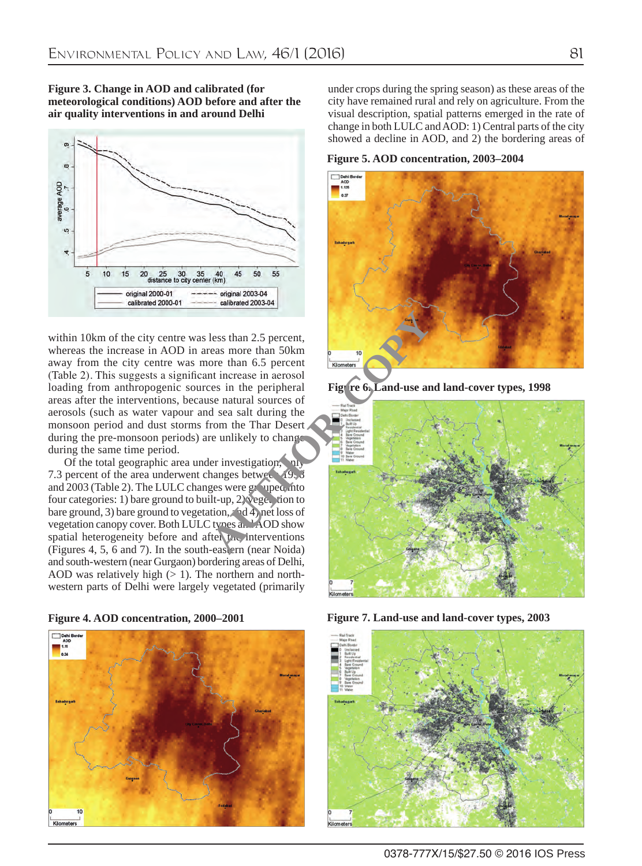



within 10km of the city centre was less than 2.5 percent, whereas the increase in AOD in areas more than 50km away from the city centre was more than 6.5 percent (Table 2). This suggests a significant increase in aerosol loading from anthropogenic sources in the peripheral areas after the interventions, because natural sources of aerosols (such as water vapour and sea salt during the monsoon period and dust storms from the Thar Desert during the pre-monsoon periods) are unlikely to change during the same time period.

Of the total geographic area under investigation,  $n_1$ 7.3 percent of the area underwent changes betwee.  $19, 8$ and 2003 (Table 2). The LULC changes were  $g_1$  uped into four categories: 1) bare ground to built-up,  $2$ ) veget tion to bare ground, 3) bare ground to vegetation,  $\mathcal{A}$  4) net loss of vegetation canopy cover. Both LULC types and AOD show spatial heterogeneity before and after  $\mu$ . interventions (Figures 4, 5, 6 and 7). In the south-eastern (near Noida) and south-western (near Gurgaon) bordering areas of Delhi, AOD was relatively high  $(> 1)$ . The northern and northwestern parts of Delhi were largely vegetated (primarily





under crops during the spring season) as these areas of the city have remained rural and rely on agriculture. From the visual description, spatial patterns emerged in the rate of change in both LULC and AOD: 1) Central parts of the city showed a decline in AOD, and 2) the bordering areas of

**Figure 5. AOD concentration, 2003–2004**



**Figure 6. Land-use and land-cover types, 1998**



**Figure 4. AOD concentration, 2000–2001 Figure 7. Land-use and land-cover types, 2003**

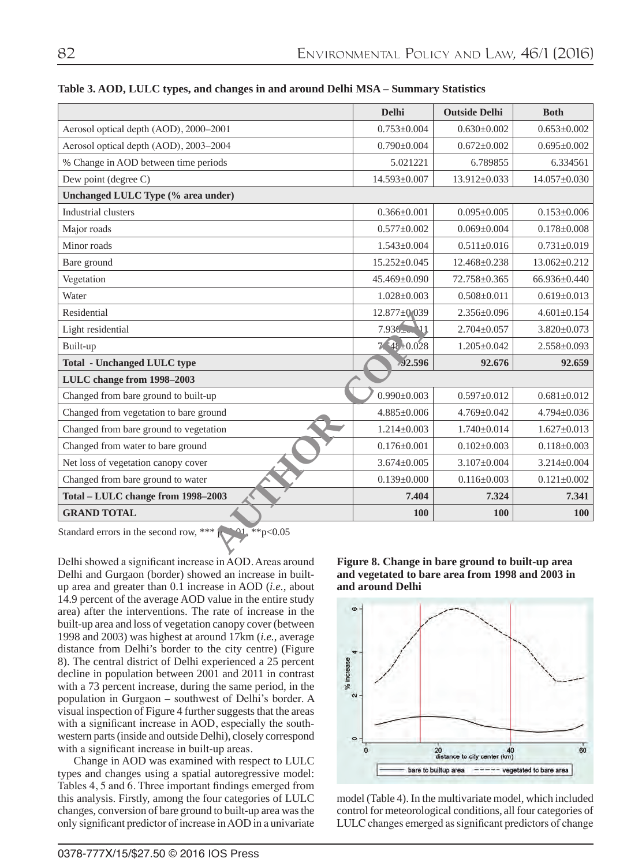|                                                                              | <b>Delhi</b>       | <b>Outside Delhi</b> | <b>Both</b>        |
|------------------------------------------------------------------------------|--------------------|----------------------|--------------------|
| Aerosol optical depth (AOD), 2000-2001                                       | $0.753+0.004$      | $0.630 \pm 0.002$    | $0.653+0.002$      |
| Aerosol optical depth (AOD), 2003-2004                                       | $0.790 \pm 0.004$  | $0.672 \pm 0.002$    | $0.695 \pm 0.002$  |
| % Change in AOD between time periods                                         | 5.021221           | 6.789855             | 6.334561           |
| Dew point (degree C)                                                         | 14.593±0.007       | 13.912±0.033         | $14.057 \pm 0.030$ |
| Unchanged LULC Type (% area under)                                           |                    |                      |                    |
| Industrial clusters                                                          | $0.366 \pm 0.001$  | $0.095 \pm 0.005$    | $0.153 \pm 0.006$  |
| Major roads                                                                  | $0.577 \pm 0.002$  | $0.069 \pm 0.004$    | $0.178 \pm 0.008$  |
| Minor roads                                                                  | $1.543 \pm 0.004$  | $0.511 \pm 0.016$    | $0.731 \pm 0.019$  |
| Bare ground                                                                  | $15.252 \pm 0.045$ | 12.468±0.238         | 13.062±0.212       |
| Vegetation                                                                   | $45.469 \pm 0.090$ | 72.758±0.365         | 66.936±0.440       |
| Water                                                                        | $1.028 \pm 0.003$  | $0.508 \pm 0.011$    | $0.619 \pm 0.013$  |
| Residential                                                                  | $12.877 \pm 0.039$ | $2.356 \pm 0.096$    | $4.601 \pm 0.154$  |
| Light residential                                                            | $7.930 - 11$       | $2.704 \pm 0.057$    | $3.820 \pm 0.073$  |
| Built-up                                                                     | $7.4\pm 0.028$     | $1.205 \pm 0.042$    | $2.558 \pm 0.093$  |
| <b>Total - Unchanged LULC type</b>                                           | 92.596             | 92.676               | 92.659             |
| LULC change from 1998-2003                                                   |                    |                      |                    |
| Changed from bare ground to built-up                                         | $0.990 \pm 0.003$  | $0.597 \pm 0.012$    | $0.681 \pm 0.012$  |
| Changed from vegetation to bare ground                                       | $4.885 \pm 0.006$  | $4.769 \pm 0.042$    | $4.794 \pm 0.036$  |
| Changed from bare ground to vegetation                                       | $1.214 \pm 0.003$  | $1.740 \pm 0.014$    | $1.627 \pm 0.013$  |
| Changed from water to bare ground                                            | $0.176 \pm 0.001$  | $0.102 \pm 0.003$    | $0.118 \pm 0.003$  |
| Net loss of vegetation canopy cover                                          | $3.674 \pm 0.005$  | $3.107 \pm 0.004$    | $3.214 \pm 0.004$  |
| Changed from bare ground to water                                            | $0.139 \pm 0.000$  | $0.116 \pm 0.003$    | $0.121 \pm 0.002$  |
| Total - LULC change from 1998-2003                                           | 7.404              | 7.324                | 7.341              |
| <b>GRAND TOTAL</b>                                                           | 100                | 100                  | <b>100</b>         |
| $^{\circ}$ 01, **p<0.05<br>Standard errors in the second row, *** $\uparrow$ |                    |                      |                    |

**Table 3. AOD, LULC types, and changes in and around Delhi MSA – Summary Statistics**

Delhi showed a significant increase in AOD. Areas around Delhi and Gurgaon (border) showed an increase in builtup area and greater than 0.1 increase in AOD (*i.e.*, about 14.9 percent of the average AOD value in the entire study area) after the interventions. The rate of increase in the built-up area and loss of vegetation canopy cover (between 1998 and 2003) was highest at around 17km (*i.e.*, average distance from Delhi's border to the city centre) (Figure 8). The central district of Delhi experienced a 25 percent decline in population between 2001 and 2011 in contrast with a 73 percent increase, during the same period, in the population in Gurgaon – southwest of Delhi's border. A visual inspection of Figure 4 further suggests that the areas with a significant increase in AOD, especially the southwestern parts (inside and outside Delhi), closely correspond with a significant increase in built-up areas.

Change in AOD was examined with respect to LULC types and changes using a spatial autoregressive model: Tables 4, 5 and 6. Three important findings emerged from this analysis. Firstly, among the four categories of LULC changes, conversion of bare ground to built-up area was the only significant predictor of increase in AOD in a univariate **Figure 8. Change in bare ground to built-up area and vegetated to bare area from 1998 and 2003 in and around Delhi**



model (Table 4). In the multivariate model, which included control for meteorological conditions, all four categories of LULC changes emerged as significant predictors of change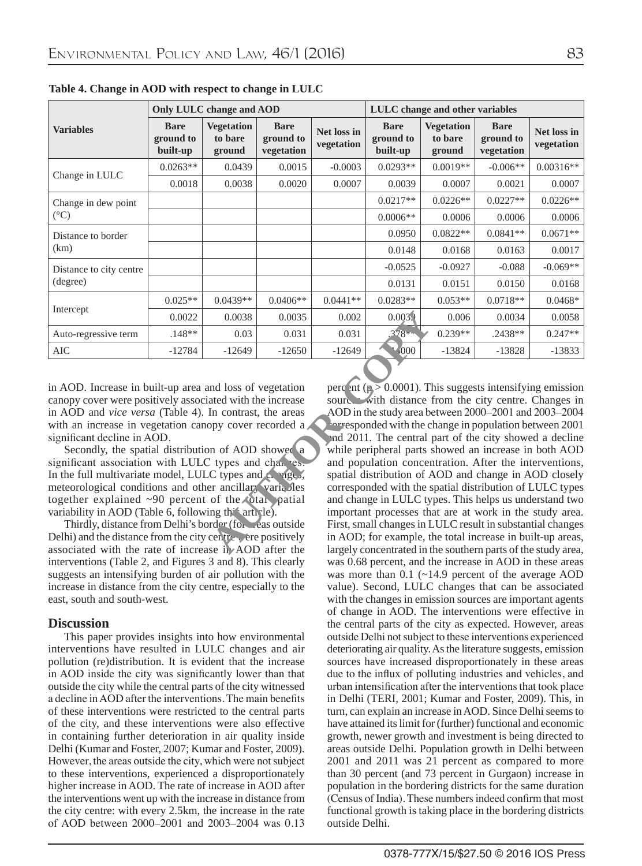|                         | Only LULC change and AOD             |                                        |                                        |                           | LULC change and other variables      |                                        |                                        |                           |
|-------------------------|--------------------------------------|----------------------------------------|----------------------------------------|---------------------------|--------------------------------------|----------------------------------------|----------------------------------------|---------------------------|
| <b>Variables</b>        | <b>Bare</b><br>ground to<br>built-up | <b>Vegetation</b><br>to bare<br>ground | <b>Bare</b><br>ground to<br>vegetation | Net loss in<br>vegetation | <b>Bare</b><br>ground to<br>built-up | <b>Vegetation</b><br>to bare<br>ground | <b>Bare</b><br>ground to<br>vegetation | Net loss in<br>vegetation |
|                         | $0.0263**$                           | 0.0439                                 | 0.0015                                 | $-0.0003$                 | $0.0293**$                           | $0.0019**$                             | $-0.006**$                             | $0.00316**$               |
| Change in LULC          | 0.0018                               | 0.0038                                 | 0.0020                                 | 0.0007                    | 0.0039                               | 0.0007                                 | 0.0021                                 | 0.0007                    |
| Change in dew point     |                                      |                                        |                                        |                           | $0.0217**$                           | $0.0226**$                             | $0.0227**$                             | $0.0226**$                |
| $(^{\circ}C)$           |                                      |                                        |                                        |                           | $0.0006**$                           | 0.0006                                 | 0.0006                                 | 0.0006                    |
| Distance to border      |                                      |                                        |                                        |                           | 0.0950                               | $0.0822**$                             | $0.0841**$                             | $0.0671**$                |
| (km)                    |                                      |                                        |                                        |                           | 0.0148                               | 0.0168                                 | 0.0163                                 | 0.0017                    |
| Distance to city centre |                                      |                                        |                                        |                           | $-0.0525$                            | $-0.0927$                              | $-0.088$                               | $-0.069**$                |
| (degree)                |                                      |                                        |                                        |                           | 0.0131                               | 0.0151                                 | 0.0150                                 | 0.0168                    |
|                         | $0.025**$                            | $0.0439**$                             | $0.0406**$                             | $0.0441**$                | $0.0283**$                           | $0.053**$                              | $0.0718**$                             | $0.0468*$                 |
| Intercept               | 0.0022                               | 0.0038                                 | 0.0035                                 | 0.002                     | 0.0039                               | 0.006                                  | 0.0034                                 | 0.0058                    |
| Auto-regressive term    | $.148**$                             | 0.03                                   | 0.031                                  | 0.031                     | 278                                  | $0.239**$                              | $.2438**$                              | $0.247**$                 |
| <b>AIC</b>              | $-12784$                             | $-12649$                               | $-12650$                               | $-12649$                  | 4000                                 | $-13824$                               | $-13828$                               | $-13833$                  |

**Table 4. Change in AOD with respect to change in LULC**

in AOD. Increase in built-up area and loss of vegetation canopy cover were positively associated with the increase in AOD and *vice versa* (Table 4). In contrast, the areas with an increase in vegetation canopy cover recorded a significant decline in AOD.

Secondly, the spatial distribution of AOD showed a significant association with LULC types and changes. In the full multivariate model, LULC types and  $c_n$  ages, meteorological conditions and other ancillary variables together explained  $~490$  percent of the total patial variability in AOD (Table 6, following this article).

Thirdly, distance from Delhi's border (for *areas* outside Delhi) and the distance from the city centre were positively associated with the rate of increase in AOD after the interventions (Table 2, and Figures 3 and 8). This clearly suggests an intensifying burden of air pollution with the increase in distance from the city centre, especially to the east, south and south-west.

### **Discussion**

This paper provides insights into how environmental interventions have resulted in LULC changes and air pollution (re)distribution. It is evident that the increase in AOD inside the city was significantly lower than that outside the city while the central parts of the city witnessed a decline in AOD after the interventions. The main benefits of these interventions were restricted to the central parts of the city, and these interventions were also effective in containing further deterioration in air quality inside Delhi (Kumar and Foster, 2007; Kumar and Foster, 2009). However, the areas outside the city, which were not subject to these interventions, experienced a disproportionately higher increase in AOD. The rate of increase in AOD after the interventions went up with the increase in distance from the city centre: with every 2.5km, the increase in the rate of AOD between 2000–2001 and 2003–2004 was 0.13

perc<sup>o</sup>nt ( $p > 0.0001$ ). This suggests intensifying emission sources with distance from the city centre. Changes in AOD in the study area between 2000–2001 and 2003–2004 corresponded with the change in population between 2001 and 2011. The central part of the city showed a decline while peripheral parts showed an increase in both AOD and population concentration. After the interventions, spatial distribution of AOD and change in AOD closely corresponded with the spatial distribution of LULC types and change in LULC types. This helps us understand two important processes that are at work in the study area. First, small changes in LULC result in substantial changes in AOD; for example, the total increase in built-up areas, largely concentrated in the southern parts of the study area, was 0.68 percent, and the increase in AOD in these areas was more than 0.1 (~14.9 percent of the average AOD value). Second, LULC changes that can be associated with the changes in emission sources are important agents of change in AOD. The interventions were effective in the central parts of the city as expected. However, areas outside Delhi not subject to these interventions experienced deteriorating air quality. As the literature suggests, emission sources have increased disproportionately in these areas due to the influx of polluting industries and vehicles, and urban intensification after the interventions that took place in Delhi (TERI, 2001; Kumar and Foster, 2009). This, in turn, can explain an increase in AOD. Since Delhi seems to have attained its limit for (further) functional and economic growth, newer growth and investment is being directed to areas outside Delhi. Population growth in Delhi between 2001 and 2011 was 21 percent as compared to more than 30 percent (and 73 percent in Gurgaon) increase in population in the bordering districts for the same duration (Census of India). These numbers indeed confirm that most functional growth is taking place in the bordering districts outside Delhi. 0.0038 0.0035 0.002 0.0035<br>
0.03 0.031 0.031 3.78<br>
-12649 -12650 -12649 4000<br>
nd loss of vegetation<br>
nd loss of vegetation<br>
nd contrast, the areas source with distance is<br>
for contrast, the areas AOD in the study area by<br>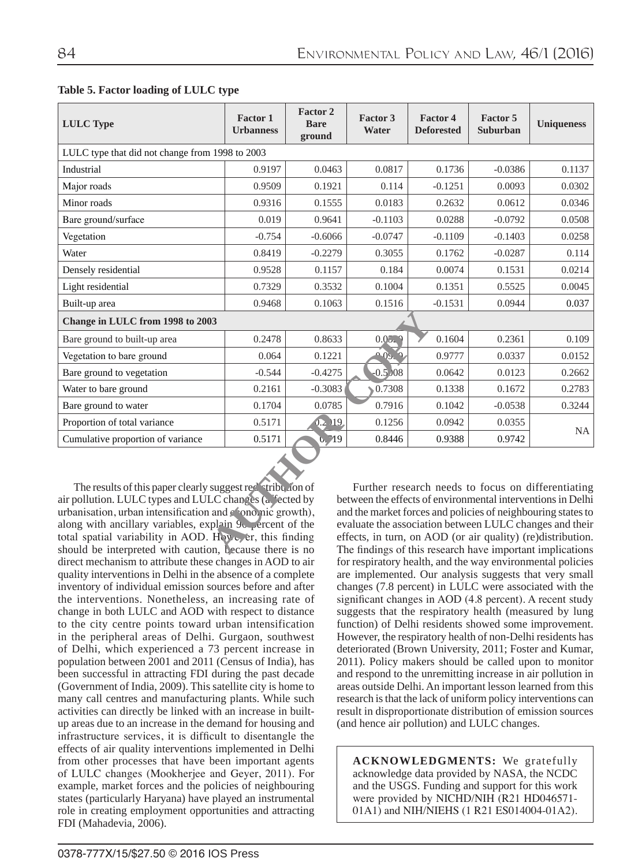| <b>LULC</b> Type                                                                                                                                                                                                                                                                                                                                                                                                                                                                                                                                                                                                                                                                                                                                  | <b>Factor 1</b><br><b>Urbanness</b> | <b>Factor 2</b><br><b>Bare</b><br>ground | Factor 3<br>Water | <b>Factor 4</b><br><b>Deforested</b> | Factor 5<br>Suburban | <b>Uniqueness</b> |
|---------------------------------------------------------------------------------------------------------------------------------------------------------------------------------------------------------------------------------------------------------------------------------------------------------------------------------------------------------------------------------------------------------------------------------------------------------------------------------------------------------------------------------------------------------------------------------------------------------------------------------------------------------------------------------------------------------------------------------------------------|-------------------------------------|------------------------------------------|-------------------|--------------------------------------|----------------------|-------------------|
| LULC type that did not change from 1998 to 2003                                                                                                                                                                                                                                                                                                                                                                                                                                                                                                                                                                                                                                                                                                   |                                     |                                          |                   |                                      |                      |                   |
| Industrial                                                                                                                                                                                                                                                                                                                                                                                                                                                                                                                                                                                                                                                                                                                                        | 0.9197                              | 0.0463                                   | 0.0817            | 0.1736                               | $-0.0386$            | 0.1137            |
| Major roads                                                                                                                                                                                                                                                                                                                                                                                                                                                                                                                                                                                                                                                                                                                                       | 0.9509                              | 0.1921                                   | 0.114             | $-0.1251$                            | 0.0093               | 0.0302            |
| Minor roads                                                                                                                                                                                                                                                                                                                                                                                                                                                                                                                                                                                                                                                                                                                                       | 0.9316                              | 0.1555                                   | 0.0183            | 0.2632                               | 0.0612               | 0.0346            |
| Bare ground/surface                                                                                                                                                                                                                                                                                                                                                                                                                                                                                                                                                                                                                                                                                                                               | 0.019                               | 0.9641                                   | $-0.1103$         | 0.0288                               | $-0.0792$            | 0.0508            |
| Vegetation                                                                                                                                                                                                                                                                                                                                                                                                                                                                                                                                                                                                                                                                                                                                        | $-0.754$                            | $-0.6066$                                | $-0.0747$         | $-0.1109$                            | $-0.1403$            | 0.0258            |
| Water                                                                                                                                                                                                                                                                                                                                                                                                                                                                                                                                                                                                                                                                                                                                             | 0.8419                              | $-0.2279$                                | 0.3055            | 0.1762                               | $-0.0287$            | 0.114             |
| Densely residential                                                                                                                                                                                                                                                                                                                                                                                                                                                                                                                                                                                                                                                                                                                               | 0.9528                              | 0.1157                                   | 0.184             | 0.0074                               | 0.1531               | 0.0214            |
| Light residential                                                                                                                                                                                                                                                                                                                                                                                                                                                                                                                                                                                                                                                                                                                                 | 0.7329                              | 0.3532                                   | 0.1004            | 0.1351                               | 0.5525               | 0.0045            |
| Built-up area                                                                                                                                                                                                                                                                                                                                                                                                                                                                                                                                                                                                                                                                                                                                     | 0.9468                              | 0.1063                                   | 0.1516            | $-0.1531$                            | 0.0944               | 0.037             |
| Change in LULC from 1998 to 2003                                                                                                                                                                                                                                                                                                                                                                                                                                                                                                                                                                                                                                                                                                                  |                                     |                                          |                   |                                      |                      |                   |
| Bare ground to built-up area                                                                                                                                                                                                                                                                                                                                                                                                                                                                                                                                                                                                                                                                                                                      | 0.2478                              | 0.8633                                   | 0.052             | 0.1604                               | 0.2361               | 0.109             |
| Vegetation to bare ground                                                                                                                                                                                                                                                                                                                                                                                                                                                                                                                                                                                                                                                                                                                         | 0.064                               | 0.1221                                   | 0.05.9            | 0.9777                               | 0.0337               | 0.0152            |
| Bare ground to vegetation                                                                                                                                                                                                                                                                                                                                                                                                                                                                                                                                                                                                                                                                                                                         | $-0.544$                            | $-0.4275$                                | $-0.5/08$         | 0.0642                               | 0.0123               | 0.2662            |
| Water to bare ground                                                                                                                                                                                                                                                                                                                                                                                                                                                                                                                                                                                                                                                                                                                              | 0.2161                              | $-0.3083$                                | 0.7308            | 0.1338                               | 0.1672               | 0.2783            |
| Bare ground to water                                                                                                                                                                                                                                                                                                                                                                                                                                                                                                                                                                                                                                                                                                                              | 0.1704                              | 0.0785                                   | 0.7916            | 0.1042                               | $-0.0538$            | 0.3244            |
| Proportion of total variance                                                                                                                                                                                                                                                                                                                                                                                                                                                                                                                                                                                                                                                                                                                      | 0.5171                              | $0.2$ $119$                              | 0.1256            | 0.0942                               | 0.0355               | NA.               |
| Cumulative proportion of variance                                                                                                                                                                                                                                                                                                                                                                                                                                                                                                                                                                                                                                                                                                                 | 0.5171                              | 0, 19                                    | 0.8446            | 0.9388                               | 0.9742               |                   |
| The results of this paper clearly suggest red stribution of<br>Further research needs to focus on differentiating<br>air pollution. LULC types and LULC changes (a "ected by<br>between the effects of environmental interventions in Delhi<br>urbanisation, urban intensification and conomic growth),<br>and the market forces and policies of neighbouring states to<br>along with ancillary variables, explain 9c percent of the<br>evaluate the association between LULC changes and their<br>total spatial variability in AOD. However, this finding<br>effects, in turn, on AOD (or air quality) (re)distribution.<br>should be interpreted with caution, because there is no<br>The findings of this research have important implications |                                     |                                          |                   |                                      |                      |                   |

## **Table 5. Factor loading of LULC type**

The results of this paper clearly suggest redistribution of air pollution. LULC types and LULC changes (a fected by urbanisation, urban intensification and conomic growth), along with ancillary variables, explain 90 percent of the total spatial variability in AOD. However, this finding should be interpreted with caution, because there is no direct mechanism to attribute these changes in AOD to air quality interventions in Delhi in the absence of a complete inventory of individual emission sources before and after the interventions. Nonetheless, an increasing rate of change in both LULC and AOD with respect to distance to the city centre points toward urban intensification in the peripheral areas of Delhi. Gurgaon, southwest of Delhi, which experienced a 73 percent increase in population between 2001 and 2011 (Census of India), has been successful in attracting FDI during the past decade (Government of India, 2009). This satellite city is home to many call centres and manufacturing plants. While such activities can directly be linked with an increase in builtup areas due to an increase in the demand for housing and infrastructure services, it is difficult to disentangle the effects of air quality interventions implemented in Delhi from other processes that have been important agents of LULC changes (Mookherjee and Geyer, 2011). For example, market forces and the policies of neighbouring states (particularly Haryana) have played an instrumental role in creating employment opportunities and attracting FDI (Mahadevia, 2006).

Further research needs to focus on differentiating between the effects of environmental interventions in Delhi and the market forces and policies of neighbouring states to evaluate the association between LULC changes and their effects, in turn, on AOD (or air quality) (re)distribution. The findings of this research have important implications for respiratory health, and the way environmental policies are implemented. Our analysis suggests that very small changes (7.8 percent) in LULC were associated with the significant changes in AOD (4.8 percent). A recent study suggests that the respiratory health (measured by lung function) of Delhi residents showed some improvement. However, the respiratory health of non-Delhi residents has deteriorated (Brown University, 2011; Foster and Kumar, 2011). Policy makers should be called upon to monitor and respond to the unremitting increase in air pollution in areas outside Delhi. An important lesson learned from this research is that the lack of uniform policy interventions can result in disproportionate distribution of emission sources (and hence air pollution) and LULC changes.

**ACKNOWLEDGMENTS:** We gratefully acknowledge data provided by NASA, the NCDC and the USGS. Funding and support for this work were provided by NICHD/NIH (R21 HD046571- 01A1) and NIH/NIEHS (1 R21 ES014004-01A2).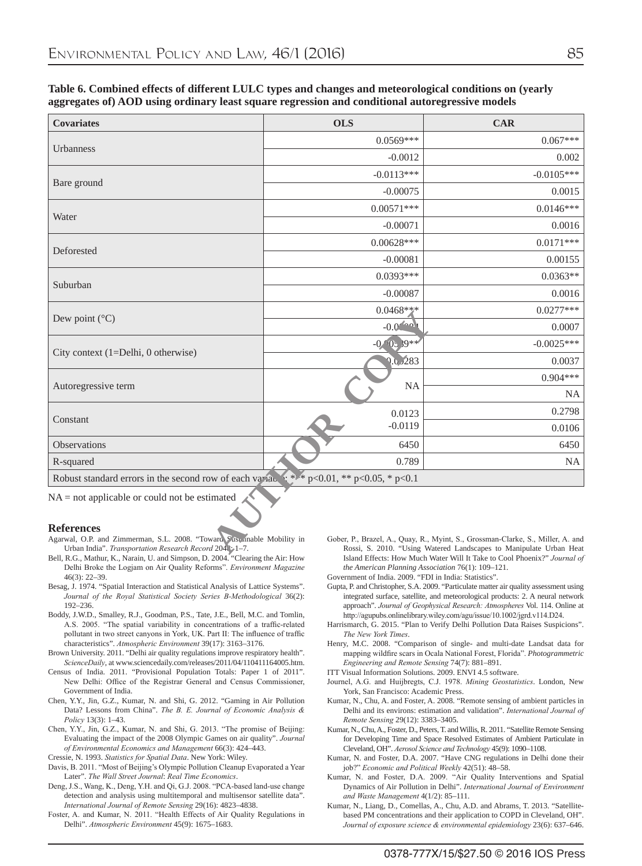| . .                            |                           |
|--------------------------------|---------------------------|
| I<br>۰.<br>×<br>٧<br>- 1<br>۰. | I<br>۰,<br>۰.<br>. .<br>v |

#### **Table 6. Combined effects of different LULC types and changes and meteorological conditions on (yearly aggregates of) AOD using ordinary least square regression and conditional autoregressive models**

| <b>Covariates</b>                                                                                                                                      | <b>OLS</b>                        | <b>CAR</b>                                                                                                                                            |
|--------------------------------------------------------------------------------------------------------------------------------------------------------|-----------------------------------|-------------------------------------------------------------------------------------------------------------------------------------------------------|
|                                                                                                                                                        | $0.0569***$                       | $0.067***$                                                                                                                                            |
| Urbanness                                                                                                                                              | $-0.0012$                         | 0.002                                                                                                                                                 |
|                                                                                                                                                        | $-0.0113***$                      | $-0.0105***$                                                                                                                                          |
| Bare ground                                                                                                                                            | $-0.00075$                        | 0.0015                                                                                                                                                |
|                                                                                                                                                        | $0.00571***$                      | $0.0146***$                                                                                                                                           |
| Water                                                                                                                                                  | $-0.00071$                        | 0.0016                                                                                                                                                |
|                                                                                                                                                        | $0.00628***$                      | $0.0171***$                                                                                                                                           |
| Deforested                                                                                                                                             | $-0.00081$                        | 0.00155                                                                                                                                               |
|                                                                                                                                                        | $0.0393***$                       | $0.0363**$                                                                                                                                            |
| Suburban                                                                                                                                               | $-0.00087$                        | 0.0016                                                                                                                                                |
|                                                                                                                                                        | $0.0468**$                        | $0.0277***$                                                                                                                                           |
| Dew point $(^{\circ}C)$                                                                                                                                | $-0.0$ $(0.01)$                   | 0.0007                                                                                                                                                |
|                                                                                                                                                        | $-0$ 0.89**                       | $-0.0025***$                                                                                                                                          |
| City context (1=Delhi, 0 otherwise)                                                                                                                    | 0.0,0.283                         | 0.0037                                                                                                                                                |
|                                                                                                                                                        |                                   | $0.904***$                                                                                                                                            |
| Autoregressive term                                                                                                                                    | <b>NA</b>                         | <b>NA</b>                                                                                                                                             |
|                                                                                                                                                        | 0.0123                            | 0.2798                                                                                                                                                |
| Constant                                                                                                                                               | $-0.0119$                         | 0.0106                                                                                                                                                |
| <b>Observations</b>                                                                                                                                    | 6450                              | 6450                                                                                                                                                  |
| R-squared                                                                                                                                              | 0.789                             | <b>NA</b>                                                                                                                                             |
| Robust standard errors in the second row of each variable                                                                                              | $**$ * p<0.01, ** p<0.05, * p<0.1 |                                                                                                                                                       |
| $NA = not applicable or could not be estimated$                                                                                                        |                                   |                                                                                                                                                       |
|                                                                                                                                                        |                                   |                                                                                                                                                       |
| <b>References</b><br>Agarwal, O.P. and Zimmerman, S.L. 2008. "Toward Sas anable Mobility in<br>Urban India". Transportation Research Record 2048; 1-7. |                                   | Gober, P., Brazel, A., Quay, R., Myint, S., Grossman-Clarke, S., Miller, A. and<br>Rossi, S. 2010. "Using Watered Landscapes to Manipulate Urban Heat |

#### **References**

- Agarwal, O.P. and Zimmerman, S.L. 2008. "Toward Sustainable Mobility in Urban India". *Transportation Research Record* 2048: 1–7.
- Bell, R.G., Mathur, K., Narain, U. and Simpson, D. 2004.<sup>"</sup> Clearing the Air: How Delhi Broke the Logjam on Air Quality Reforms". *Environment Magazine* 46(3): 22–39.
- Besag, J. 1974. "Spatial Interaction and Statistical Analysis of Lattice Systems". *Journal of the Royal Statistical Society Series B-Methodological* 36(2): 192–236.
- Boddy, J.W.D., Smalley, R.J., Goodman, P.S., Tate, J.E., Bell, M.C. and Tomlin, A.S. 2005. "The spatial variability in concentrations of a traffic-related pollutant in two street canyons in York, UK. Part II: The influence of traffic characteristics". *Atmospheric Environment* 39(17): 3163–3176.
- Brown University. 2011. "Delhi air quality regulations improve respiratory health". *ScienceDaily*, at www.sciencedaily.com/releases/2011/04/110411164005.htm.
- Census of India. 2011. "Provisional Population Totals: Paper 1 of 2011". New Delhi: Office of the Registrar General and Census Commissioner, Government of India.
- Chen, Y.Y., Jin, G.Z., Kumar, N. and Shi, G. 2012. "Gaming in Air Pollution Data? Lessons from China". *The B. E. Journal of Economic Analysis & Policy* 13(3): 1–43.
- Chen, Y.Y., Jin, G.Z., Kumar, N. and Shi, G. 2013. "The promise of Beijing: Evaluating the impact of the 2008 Olympic Games on air quality". *Journal of Environmental Economics and Management* 66(3): 424–443.
- Cressie, N. 1993. *Statistics for Spatial Data*. New York: Wiley.
- Davis, B. 2011. "Most of Beijing's Olympic Pollution Cleanup Evaporated a Year Later". *The Wall Street Journal*: *Real Time Economics*.
- Deng, J.S., Wang, K., Deng, Y.H. and Qi, G.J. 2008. "PCA-based land-use change detection and analysis using multitemporal and multisensor satellite data". *International Journal of Remote Sensing* 29(16): 4823–4838.
- Foster, A. and Kumar, N. 2011. "Health Effects of Air Quality Regulations in Delhi". *Atmospheric Environment* 45(9): 1675–1683.
- Gober, P., Brazel, A., Quay, R., Myint, S., Grossman-Clarke, S., Miller, A. and Rossi, S. 2010. "Using Watered Landscapes to Manipulate Urban Heat Island Effects: How Much Water Will It Take to Cool Phoenix?" *Journal of the American Planning Association* 76(1): 109–121.
- Government of India. 2009. "FDI in India: Statistics".
- Gupta, P. and Christopher, S.A. 2009. "Particulate matter air quality assessment using integrated surface, satellite, and meteorological products: 2. A neural network approach". *Journal of Geophysical Research: Atmospheres* Vol. 114. Online at http://agupubs.onlinelibrary.wiley.com/agu/issue/10.1002/jgrd.v114.D24.
- Harrismarch, G. 2015. "Plan to Verify Delhi Pollution Data Raises Suspicions". *The New York Times*.
- Henry, M.C. 2008. "Comparison of single- and multi-date Landsat data for mapping wildfire scars in Ocala National Forest, Florida". *Photogrammetric Engineering and Remote Sensing* 74(7): 881–891.
- ITT Visual Information Solutions. 2009. ENVI 4.5 software.
- Journel, A.G. and Huijbregts, C.J. 1978. *Mining Geostatistics*. London, New York, San Francisco: Academic Press.
- Kumar, N., Chu, A. and Foster, A. 2008. "Remote sensing of ambient particles in Delhi and its environs: estimation and validation". *International Journal of Remote Sensing* 29(12): 3383–3405.
- Kumar, N., Chu, A., Foster, D., Peters, T. and Willis, R. 2011. "Satellite Remote Sensing for Developing Time and Space Resolved Estimates of Ambient Particulate in Cleveland, OH". *Aerosol Science and Technology* 45(9): 1090–1108.
- Kumar, N. and Foster, D.A. 2007. "Have CNG regulations in Delhi done their job?" *Economic and Political Weekly* 42(51): 48–58.
- Kumar, N. and Foster, D.A. 2009. "Air Quality Interventions and Spatial Dynamics of Air Pollution in Delhi". *International Journal of Environment and Waste Management* 4(1/2): 85–111.
- Kumar, N., Liang, D., Comellas, A., Chu, A.D. and Abrams, T. 2013. "Satellitebased PM concentrations and their application to COPD in Cleveland, OH". *Journal of exposure science & environmental epidemiology* 23(6): 637–646.